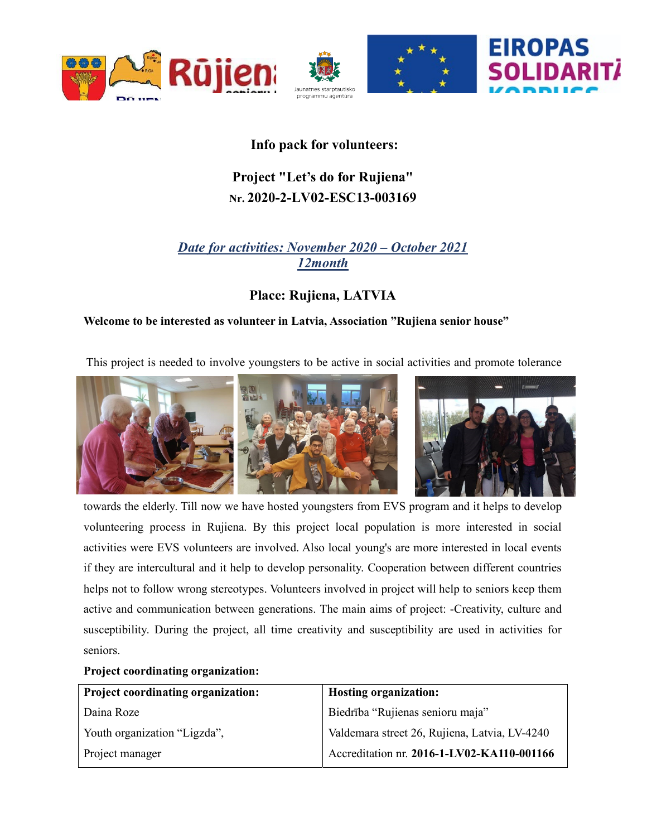

## Info pack for volunteers:

# Project "Let's do for Rujiena" Nr. 2020-2-LV02-ESC13-003169

## Date for activities: November 2020 – October 2021 12month

## Place: Rujiena, LATVIA

### Welcome to be interested as volunteer in Latvia, Association "Rujiena senior house"

This project is needed to involve youngsters to be active in social activities and promote tolerance



towards the elderly. Till now we have hosted youngsters from EVS program and it helps to develop volunteering process in Rujiena. By this project local population is more interested in social activities were EVS volunteers are involved. Also local young's are more interested in local events if they are intercultural and it help to develop personality. Cooperation between different countries helps not to follow wrong stereotypes. Volunteers involved in project will help to seniors keep them active and communication between generations. The main aims of project: -Creativity, culture and susceptibility. During the project, all time creativity and susceptibility are used in activities for seniors.

### Project coordinating organization:

| <b>Project coordinating organization:</b> | <b>Hosting organization:</b>                  |
|-------------------------------------------|-----------------------------------------------|
| Daina Roze                                | Biedrība "Rujienas senioru maja"              |
| Youth organization "Ligzda",              | Valdemara street 26, Rujiena, Latvia, LV-4240 |
| Project manager                           | Accreditation nr. 2016-1-LV02-KA110-001166    |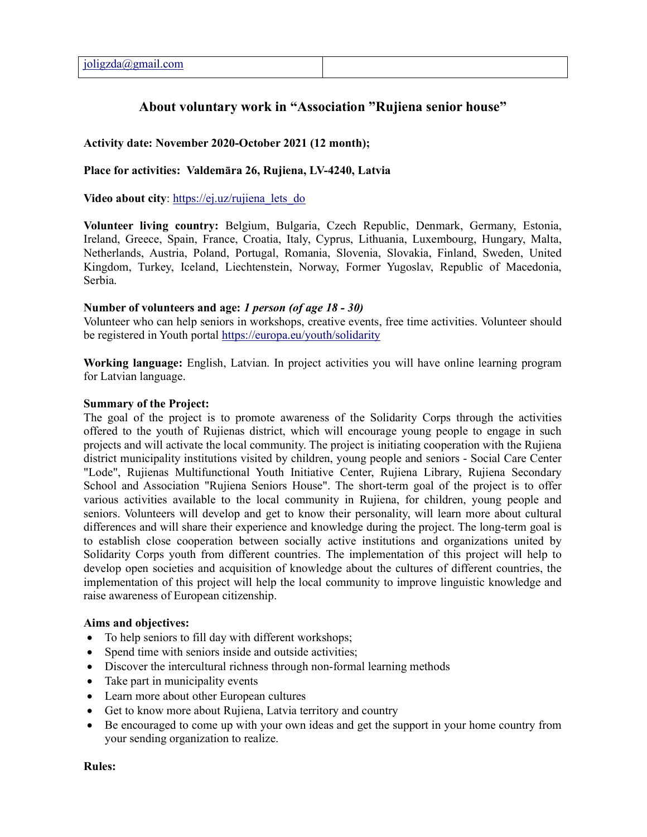### About voluntary work in "Association "Rujiena senior house"

#### Activity date: November 2020-October 2021 (12 month);

#### Place for activities: Valdemāra 26, Rujiena, LV-4240, Latvia

Video about city: https://ej.uz/rujiena lets do

Volunteer living country: Belgium, Bulgaria, Czech Republic, Denmark, Germany, Estonia, Ireland, Greece, Spain, France, Croatia, Italy, Cyprus, Lithuania, Luxembourg, Hungary, Malta, Netherlands, Austria, Poland, Portugal, Romania, Slovenia, Slovakia, Finland, Sweden, United Kingdom, Turkey, Iceland, Liechtenstein, Norway, Former Yugoslav, Republic of Macedonia, Serbia.

#### Number of volunteers and age: 1 person (of age 18 - 30)

Volunteer who can help seniors in workshops, creative events, free time activities. Volunteer should be registered in Youth portal https://europa.eu/youth/solidarity

Working language: English, Latvian. In project activities you will have online learning program for Latvian language.

#### Summary of the Project:

The goal of the project is to promote awareness of the Solidarity Corps through the activities offered to the youth of Rujienas district, which will encourage young people to engage in such projects and will activate the local community. The project is initiating cooperation with the Rujiena district municipality institutions visited by children, young people and seniors - Social Care Center "Lode", Rujienas Multifunctional Youth Initiative Center, Rujiena Library, Rujiena Secondary School and Association "Rujiena Seniors House". The short-term goal of the project is to offer various activities available to the local community in Rujiena, for children, young people and seniors. Volunteers will develop and get to know their personality, will learn more about cultural differences and will share their experience and knowledge during the project. The long-term goal is to establish close cooperation between socially active institutions and organizations united by Solidarity Corps youth from different countries. The implementation of this project will help to develop open societies and acquisition of knowledge about the cultures of different countries, the implementation of this project will help the local community to improve linguistic knowledge and raise awareness of European citizenship.

#### Aims and objectives:

- To help seniors to fill day with different workshops;
- Spend time with seniors inside and outside activities;
- Discover the intercultural richness through non-formal learning methods
- Take part in municipality events
- Learn more about other European cultures
- Get to know more about Rujiena, Latvia territory and country
- Be encouraged to come up with your own ideas and get the support in your home country from your sending organization to realize.

#### Rules: